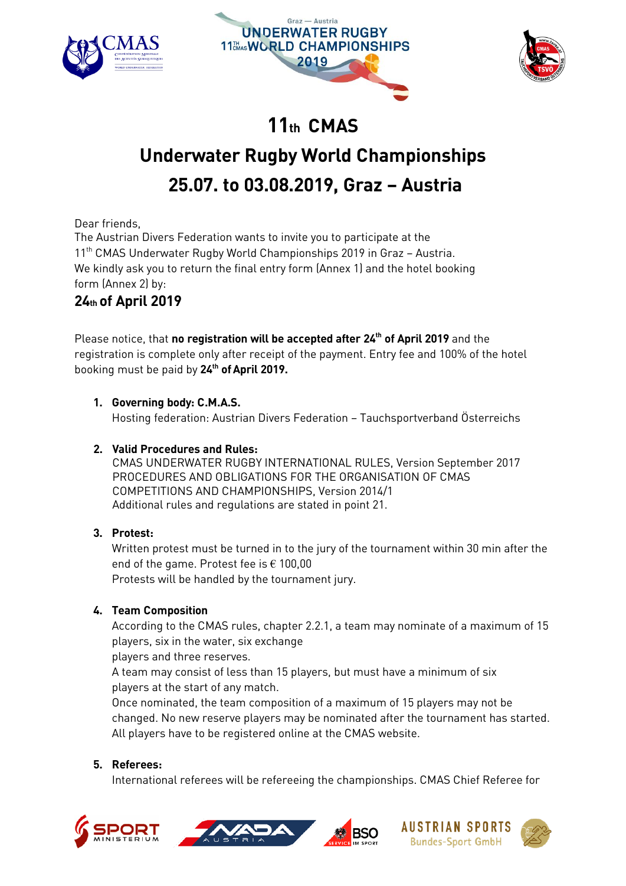





# 11th CMAS

## **Underwater Rugby World Championships** Underwater Rugby World Championships 25.07. to 03.08.2019, Graz – Austria

Dear friends,<br>The Austrian Divers Federation wants to invite you to participate at the 11<sup>th</sup> CMAS Underwater Rugby World Championships 2019 in Graz - Austria. We kindly ask you to return the final entry form (Annex 1) and the hotel booking form (Annex 2) by:

### $24<sub>th</sub>$  of April 2019 24th of April 2019

Please notice, that **no registration will be accepted after 24<sup>th</sup> of April 2019** and the<br>registration is complete only after receipt of the payment. Entry fee and 100% of the hotel registration is complete only after receipt of the payment. Entry fee and 100% of the hotel booking must be paid by **24 tol April 2019.** 

1. Governing body: C.M. Hosting fologytion. Austr Hosting federation: Austrian Divers Federation – Tauchsportverband Österreichs

### 2. Valid Procedures and Rules:

CMAS UNDERWATER RUGBY INTERNATIONAL RULES, Version September 2017 PROCEDURES AND OBLIGATIONS FOR THE ORGANISATION OF CMAS COMPETITIONS AND CHAMPIONSHIPS, Version 2014/1 C tain in the two computations and chain in the contract of the contract of the contract of the contract of the contract of the contract of the contract of the contract of the contract of the contract of the contract of th Additional rules and regulations are stated in point 21.

### 3. Protest:

Written protest must be turned in to the jury of the tournament within 30 min after the end of the game. Protest fee is  $\epsilon$  100,00<br>Protects will be bandled by the tournament jury Protests will be handled by the tournament jury.

4. Team Composition<br>According to the CMAS rules, chapter 2.2.1, a team may nominate of a maximum of 15 players, six in the water, six exchange

players and three reserves.

A team may consist of less than 15 players, but must have a minimum of six players at the start of any match.

Once nominated, the team composition of a maximum of 15 players may not be changed. No new reserve players may be nominated after the tournament has started. changed. The new reserve players may be not the tournament has started and the CMAS website  $\overline{a}$ 

### 5. Referees:

5. References  $\mathcal{I}$  international references with the championships. CMAS Chief References  $\mathcal{I}$ 









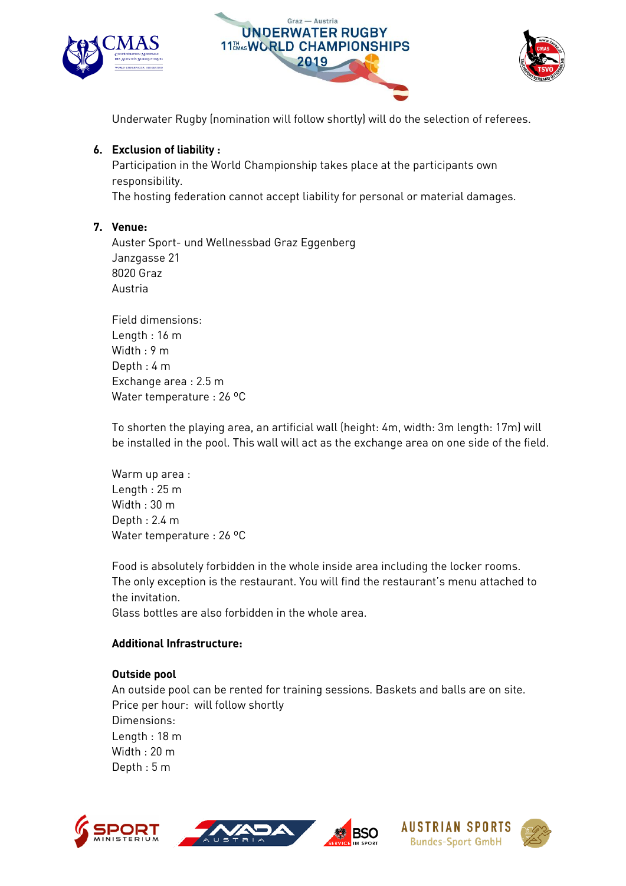





Underwater Rugby (nomination will follow shortly) will do the selection of referees.

Experiment of liability : Participation in the World Championship takes place at the participants own responsibility.<br>The besting fo

The hosting federation cannot accept liability for personal or material damages.

### 7. Venue:

Auster Sport- und Wellnessbad Graz Eggenberg Janzgasse 21 8020 Graz **Austria** 

Field dimensions: Length:  $16 \text{ m}$ Width :  $9<sub>m</sub>$ Depth :  $4 m$ Exchange area : 2.5 m Exchange area : 2.5 m Water temperature : 26 ºC

To shorten the playing area, an artificial wall (height: 4m, width: 3m length: 17m) will be installed in the pool. This wall will act as the exchange area on one side of the field.

Warm up area :<br>Length : 25 m Width :  $30 \text{ m}$ Depth :  $2.4$  m Water temperature : 26 °C Water temperature : 26 ºC

Food is absolutely forbidden in the whole inside area including the locker rooms.  $\frac{1}{\sqrt{2}}$  is the invitation is the restaurant. The restaurant the restaurant  $\frac{1}{\sqrt{2}}$ 

Glass bottles are also forbidden in the whole area.

**Outside pool**<br>An outside pool can be rented for training sessions. Baskets and balls are on site. Price per hour: will follow shortly Dimensions: Length:  $18 \text{ m}$ Width :  $20 m$ Depth :  $5<sub>m</sub>$ Depth : 5 m









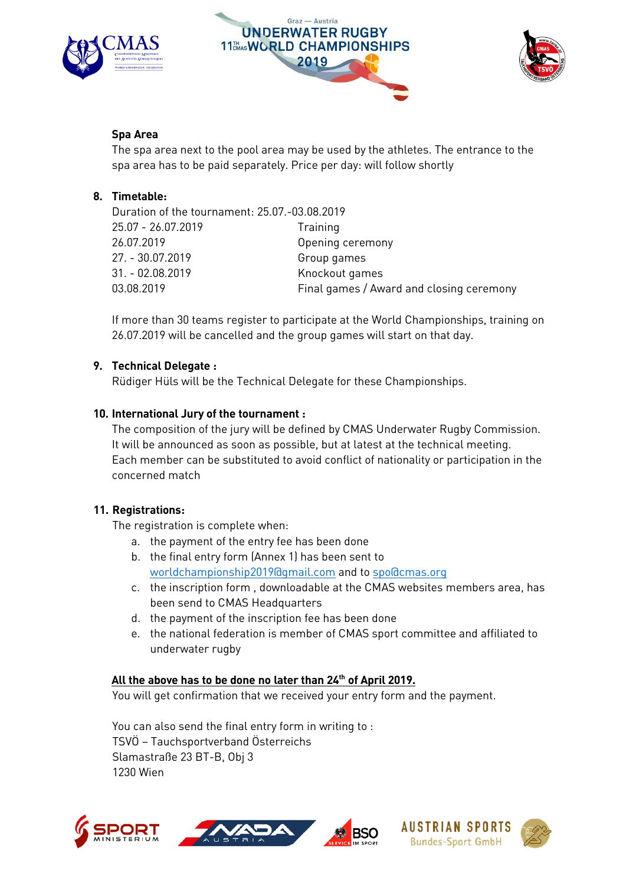





Spa Area<br>The spa area next to the pool area may be used by the athletes. The entrance to the  $T_{\rm{on}}$  area has to be poid concretely. Drice por downed follow shortly. spa area has to be paid separately. Price per day: will follow shortly

### 8. Timetable:

| Duration of the tournament: 25.07.-03.08.2019 |                                          |
|-----------------------------------------------|------------------------------------------|
| 25.07 - 26.07.2019                            | Training                                 |
| 26.07.2019                                    | Opening ceremony                         |
| 27. - 30.07.2019                              | Group games                              |
| $31. - 02.08.2019$                            | Knockout games                           |
| 03.08.2019                                    | Final games / Award and closing ceremony |
|                                               |                                          |

If more than 30 teams register to participate at the World Championships, training on<br>24.07.2010 will be concelled and the group games will start on that day. 26.07.2019 will be cancelled and the group games will start on that day.

e<br>Düdiger Hülc will be Rüdiger Hüls will be the Technical Delegate for these Championships.

10. International Jury of the tournament :<br>The composition of the jury will be defined by CMAS Underwater Rugby Commission. It will be announced as soon as possible, but at latest at the technical meeting.  $\frac{1}{2}$  be an indicated as  $\frac{1}{2}$  and  $\frac{1}{2}$  conflict at patienality or participation.  $\mathcal{L}$  member can be substituted to avoid conflict of nationality or participation in the substitute of  $\mathcal{L}$ 

**11. Registrations:**<br>The registration is complete when:

- a. the payment of the entry fee has been done
- b. the final entry form (Annex 1) has been sent to worldchampionship2019@qmail.com and to spo@cmas.org
- c. the inscription form, downloadable at the CMAS websites members area, has been send to CMAS Headquarters
- d. the payment of the inscription fee has been done
- e. the national federation is member of CMAS sport committee and affiliated to e. the national federation is member of CMAS sport committee and affiliated to underwater rugby

## All the above has to be done no later than 24th of April 2019.<br>You will get confirmation that we received your entry form a

You will get confirmation that we received your entry form and the payment.

You can also send the final entry form in writing to :<br>TSVÖ – Tauchsportverband Österreichs Slamastraße 23 BT-B, Obj 3 1230 Wien









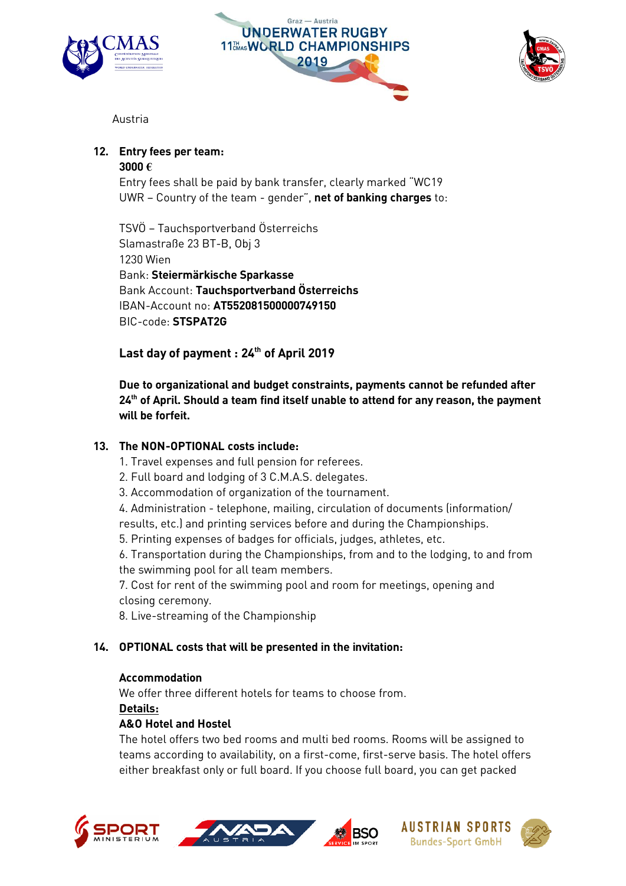





Austria

**3000 €**<br>Entry fees shall be n  $\frac{1}{1000}$  Country of the team conder" **not of banking charges** to UWR – Country of the team - gender", net of banking charges to:

TSVÖ – Tauchsportverband Österreichs<br>Slamastraße 23 BT-B, Obj 3 1230 Wien Bank: Steiermärkische Sparkasse Bank Account: Tauchsportverband Österreichs IBAN-Account no: AT552081500000749150 BIC-code: STSPAT2G

### Last day of payment :  $24<sup>th</sup>$  of April 2019

Due to organizational and budget constraints, payments cannot be refunded after the refunded after a  $2\ell$ 24" of April. Should a team find itself unable to attend for any reason, the payment<br>will be forfeit

### 13. The NON-OPTIONAL costs include:

- 1. Travel expenses and full pension for referees.
- 2. Full board and lodging of 3 C.M.A.S. delegates.
- 3. Accommodation of organization of the tournament.

4. Administration - telephone, mailing, circulation of documents (information/ results, etc.) and printing services before and during the Championships.

5. Printing expenses of badges for officials, judges, athletes, etc.

6. Transportation during the Championships, from and to the lodging, to and from the swimming pool for all team members.

the symmitting pool and communications 7. Cost for rent of the swimming pool and room for meetings, opening and closing ceremony.<br>8. Live-streaming of the Championship

 $\begin{array}{ccc} 3 & 1 \\ 1 & 1 \end{array}$ 

### 14. OPTIONAL costs that will be presented in the invitation:

### **Accommodation**

We offer three different hotels for teams to choose from.  $\mathsf{Data}$ 

# Details:<br>A&O Hotel and Hostel

The hotel offers two bed rooms and multi bed rooms. Rooms will be assigned to teams according to availability, on a first-come, first-serve basis. The hotel offers teams according to availability, on a first-come, first-come basis. The hotel offers either breakfast only or full board. If you choose full board, you can get packed









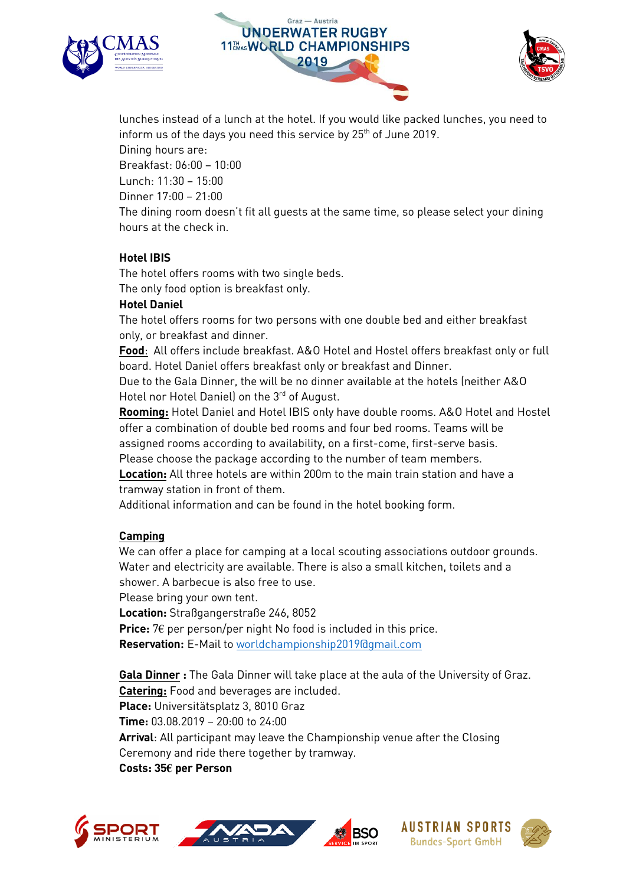





 $\frac{1}{2}$  inform us of the days vou pood this service by  $2F^{th}$  of lune 2010 inform us of the days you need this service by 25th June 2019.<br>Dining bours are:

Dining hours are:<br>Breakfast: 06:00 – 10:00

 $L$ unch:  $11:30 - 15:00$ 

Dinner  $17:00 - 21:00$ 

The dining room doesn't fit all quests at the same time, so please select your dining hours at the check in

### **Hotel IBIS**

The hotel offers rooms with two single beds. The only food option is breakfast only.

### **Hotel Daniel**

The hotel offers rooms for two persons with one double bed and either breakfast only, or breakfast and dinner.

Food: All offers include breakfast. A&O Hotel and Hostel offers breakfast only or full board. Hotel Daniel offers breakfast only or breakfast and Dinner.

Due to the Gala Dinner, the will be no dinner available at the hotels (neither A&O Hotel nor Hotel Daniel) on the 3rd of August.

Rooming: Hotel Daniel and Hotel IBIS only have double rooms. A&O Hotel and Hostel offer a combination of double bed rooms and four bed rooms. Teams will be assigned rooms according to availability, on a first-come, first-serve basis. Please choose the package according to the number of team members.

Location: All three hotels are within 200m to the main train station and have a tramway station in front of them.

trammay station in front of them. Additional information and can be found in the hotel booking form.

**Camping**<br>We can offer a place for camping at a local scouting associations outdoor grounds. Water and electricity are available. There is also a small kitchen, toilets and a shower. A barbecue is also free to use.

Please bring your own tent.

Location: Straßgangerstraße 246, 8052

Price:  $7\epsilon$  per person/per night [No food is included in this pric](mailto:worldchampionship2019@gmail.com)e. Reservation**:** E-Mail to worldchampionship2019@gmail.com

Gala Dinner: The Gala Dinner will take place at the aula of the University of Graz.<br>Catering: Food and beverages are included. Place: Universitätsplatz 3, 8010 Graz **Time: 03.08.2019 - 20:00 to 24:00** Arrival: All participant may leave the Championship venue after the Closing Ceremony and ride there together by tramway. Costs: 35€ per Person









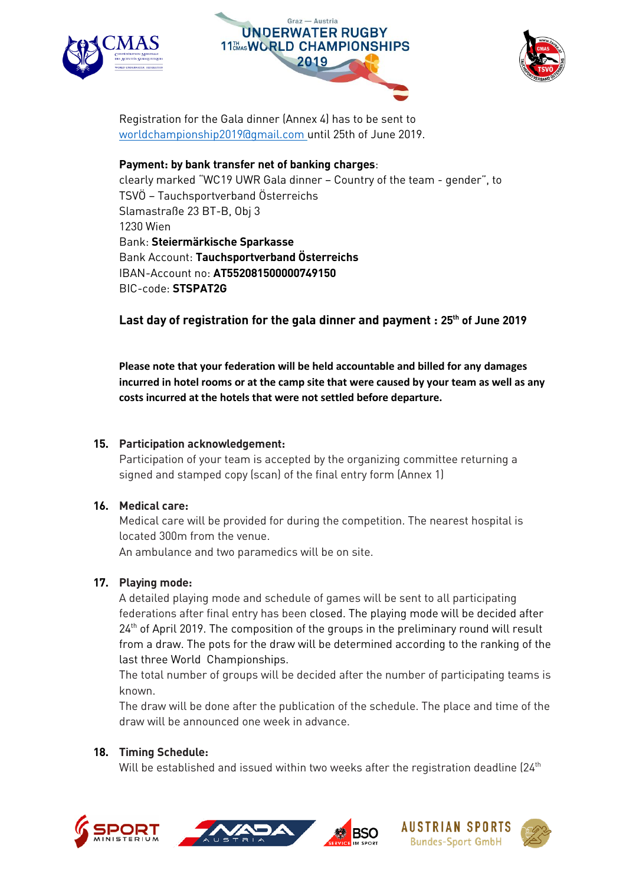





[Registration for the Gala dinner](mailto:worldchampionship2019@gmail.com) (Annex 4) has to be sent to world championship 2019. We also describe the set of June 2019. We also describe the set of June 2019. We also

**Payment: by bank transfer net of banking charges**:<br>clearly marked "WC19 UWR Gala dinner – Country of the team - gender", to TSVÖ – Tauchsportverband Österreichs Slamastraße 23 BT-B, Obj 3 1230 Wien Bank: Steiermärkische Sparkasse Bank Account: Tauchsportverband Österreichs IBAN-Account no: AT552081500000749150 BIC-code: STSPAT2G

Last day of registration for the gala dinner and payment :  $25<sup>th</sup>$  of June 2019

**Please note that your federation will be held accountable and billed for any damages incurred in hotel rooms or at the camp site that were caused by your team as well as any costs incurred at the hotels that were not settled before departure.**

**15. Participation acknowledgement:**<br>Participation of your team is accepted by the organizing committee returning a Participation of your team is accepted by the organizing committee returning a signed and stamped copy (scan) of the final entry form (Annex 1)

### 16. Medical care:

Medical care will be provided for during the competition. The nearest hospital is located 300m from the venue.

An ambulance and two paramedics will be on site. An ambulance and two paramedics will be on site.

**17. Playing mode:**<br>A detailed playing mode and schedule of games will be sent to all participating federations after final entry has been closed. The playing mode will be decided after federations after mode city has been closed. The playing mode with a section after 24th of April 2019. The composition of the groups in the preliminary round will result<br>from a draw. The pets for the draw will be determined according to the ranking of th from a draw. The pots for the draw will be determined according to the ranking of the

The total number of groups will be decided after the number of participating teams is The total number of groups will be decided after the number of participating teams is

known.<br>The draw will be done after the publication of the schedule. The place and time of the draw will be announced one week in advance.

18. Timing Schedule will be established and issued within two weeks after the registration deadline (24th)









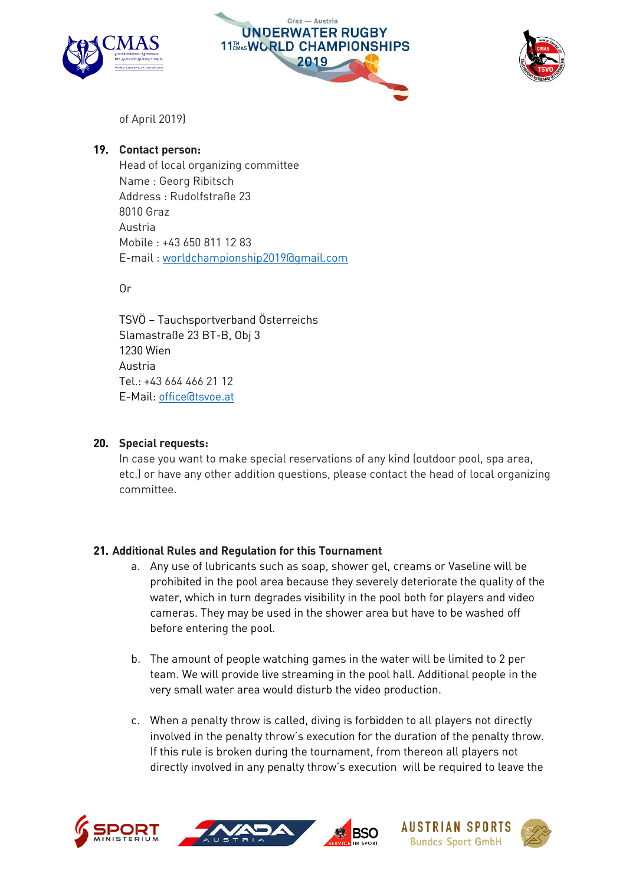





of April 2019)

**19. Contact person:**<br>Head of local organizing committee Name : Georg Ribitsch Address: Rudolfstraße 23  $8010$  Graz Austria Mobile: +43 650 811 12 83  $E \text{ mail} : worldchominach$ E-mail : worldchampionship2019@gmail.com

0r

TSVÖ – Tauchsportverband Österreichs<br>Slamastraße 23 BT-B, Obj 3 1230 Wien Austria Tel.: +43 664 466 21 12  $T_{\text{Mol}}$  office  $\theta$ tevee at E-Mail: office@tsvoe.at

20. Special requests:<br>In case you want to make special reservations of any kind (outdoor pool, spa area,  $\frac{1}{2}$   $\frac{1}{2}$  respectively. etc.) or have any other addition questions, please contact the head of local organizing

- 21. Additional Rules and Regulation for this Tournament<br>a. Any use of lubricants such as soap, shower gel, creams or Vaseline will be prohibited in the pool area because they severely deteriorate the quality of the water, which in turn degrades visibility in the pool both for players and video cameras. They may be used in the shower area but have to be washed off  $\frac{1}{2}$  may be used in the shower area but have to be was helped on the shower area but have to be was helped on  $\frac{1}{2}$ before entering the pool.
	- b. The amount of people watching games in the water will be limited to 2 per team. We will provide live streaming in the pool hall. Additional people in the very small water area would disturb the video production.
	- c. When a penalty throw is called, diving is forbidden to all players not directly If this rule is broken during the tournament, from thereon all players not If the required in any panelty throw's execution will be required to leave directly involved in any penalty throw the required to leave the required to leave the required to leave the regular state of  $\alpha$









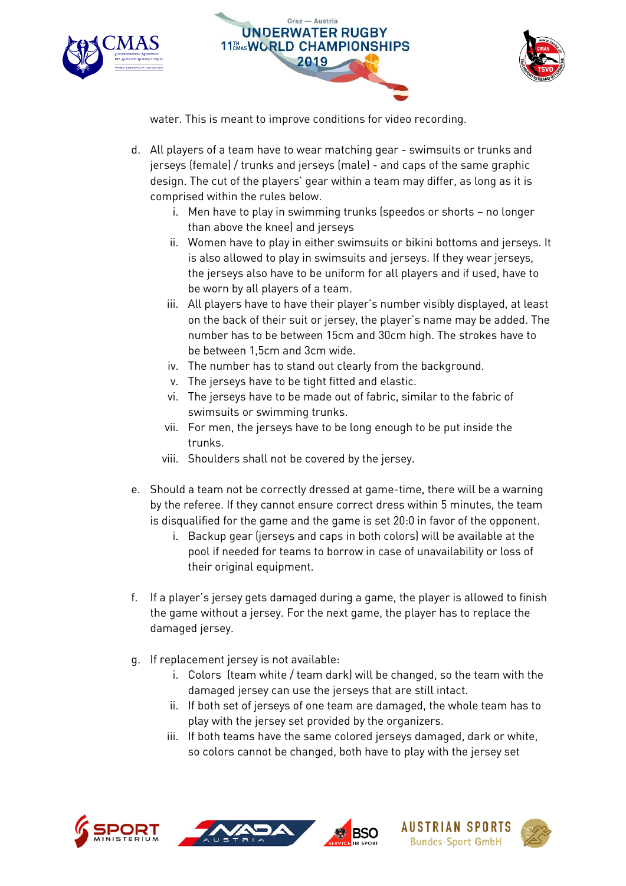





water. This is meant to improve conditions for video recording.

- d. All players of a team have to wear matching gear swimsuits or trunks and<br>jerseys (female) / trunks and jerseys (male) and caps of the same graphic design. The cut of the players' gear within a team may differ, as long as it is comprised within the rules below.
	- i. Men have to play in swimming trunks (speedos or shorts no longer than above the knee) and jerseys
	- ii. Women have to play in either swimsuits or bikini bottoms and jerseys. It is also allowed to play in swimsuits and jerseys. If they wear jerseys, the jerseys also have to be uniform for all players and if used, have to be worn by all players of a team.
	- iii. All players have to have their player's number visibly displayed, at least on the back of their suit or jersey, the player's name may be added. The number has to be between 15cm and 30cm high. The strokes have to be between 1.5cm and 3cm wide.
	- iv. The number has to stand out clearly from the background.
	- v. The jerseys have to be tight fitted and elastic.
	- vi. The jerseys have to be made out of fabric, similar to the fabric of swimsuits or swimming trunks.
	- Earman the ierseus have to be vii. For men, the jerseys have to be put in the put inside the put inside the put inside the put inside the put<br>Inside the put inside the put inside the put inside the put inside the put in the put in the put in the put in
	- viii.  $\,$  Shoulders shall not be covered by the jersey.
- e. Should a team not be correctly dressed at game-time, there will be a warning is disqualified for the game and the game is set 20:0 in favor of the opponent.
	- i. Backup gear lierseys and caps in both colors) will be available at the pool if needed for teams to borrow in case of unavailability or loss of pool if needed for teams to borrow in case of unavailability or loss of their original equipment.
- $f(x) = \frac{1}{2}x^2 + \frac{1}{2}y^2 + \frac{1}{2}z^2 + \frac{1}{2}z^2 + \frac{1}{2}z^2 + \frac{1}{2}z^2 + \frac{1}{2}z^2 + \frac{1}{2}z^2 + \frac{1}{2}z^2 + \frac{1}{2}z^2 + \frac{1}{2}z^2 + \frac{1}{2}z^2 + \frac{1}{2}z^2 + \frac{1}{2}z^2 + \frac{1}{2}z^2 + \frac{1}{2}z^2 + \frac{1}{2}z^2 + \frac{1}{2}z^2 + \frac{1}{2}z^2 + \frac{1}{2}$  $t_{\text{inert}}$ damaged jersey.
- 
- g. If replacement jersey is not available:<br>i. Colors Iteam white / team dark] will be changed. so the team with the damaged jersey can use the jerseys that are still intact.
	- ii. If both set of jerseys of one team are damaged, the whole team has to play with the jersey set provided by the organizers.
	- iii. If both teams have the same colored jerseys damaged, dark or white,  $\frac{1}{2}$ , If  $\frac{1}{2}$ so colors cannot be changed, both have to play with the jersey set









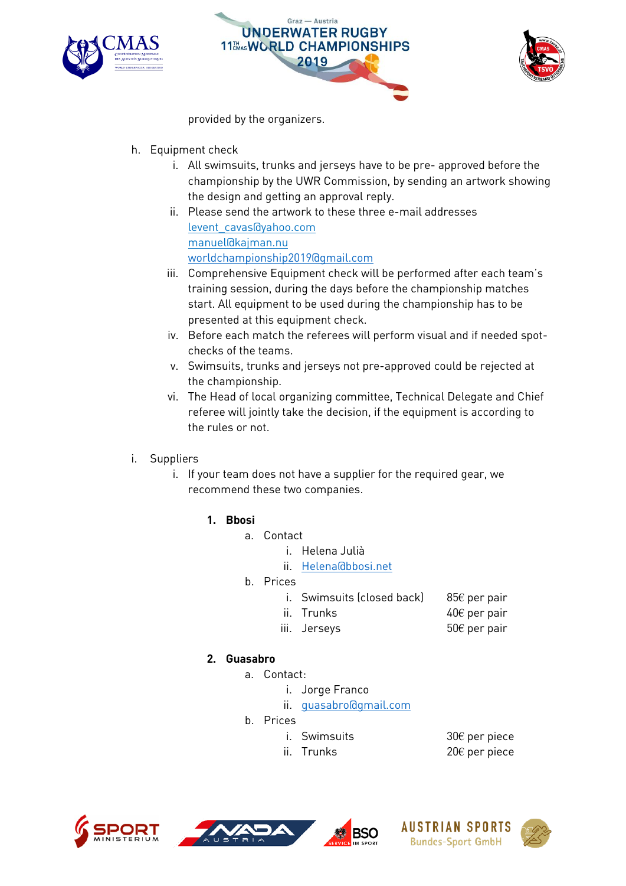





provided by the organizers.

- 
- h. Equipment check<br>i. All swimsuits, trunks and jerseys have to be pre- approved before the championship by the UWR Commission, by sending an artwork showing the design and getting an approval reply.
	- ii. Please send the artwork to these three e-mail addresses levent cavas@vahoo.com manuel@kajman.nu worldchampionship2019@gmail.com
	- iii. Comprehensive Equipment check will be performed after each team's training session, during the days before the championship matches start. All equipment to be used during the championship has to be presented at this equipment check.
	- iv. Before each match the referees will perform visual and if needed spotchecks of the teams.
	- checks of the teams. v. Swimsuits, trunks and jerseys not pre-approved could be rejected at
	- the championship.<br>vi. The Head of local organizing committee, Technical Delegate and Chief referee will jointly take the decision, if the equipment is according to the rules or not.
- 
- i. Suppliers<br>i. If your team does not have a supplier for the required gear, we  $\frac{1}{2}$  is team does not have a supplier for the required gear, we recommend these two companies.
	- 1. Bbosi
		- a. Contact
			- i. Helena Julià
			- i.<br>I. Helena Ghhe ii. <u>Helenaard Europa</u><br>195
		-
		- i. Swimsuits (closed back) 85€ per pair<br>ii Frunks
			- ii. Trunks 40€ per pair
			- iii. Jerseys

# 2. Guasabro<br>a. Contact:

- - i. Jorge Franco
	- i. Jorge France ii. <u>guusaan nagmameen.</u><br>.oc
- - *i* Swimsuits i. Swimsuits  $\frac{30}{6}$  per piece ii. Trunks  $\frac{30}{6}$  per piece 20€ per piece







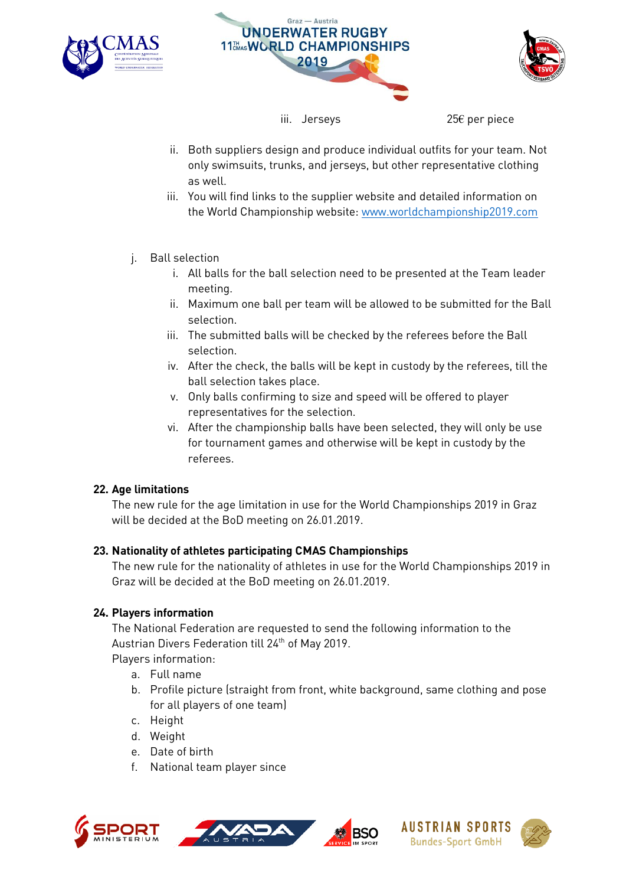





iii. Jerseys 25€ per piece

- $\frac{1}{1}$  ii. Both suppliers design and produce in the propose outfits clothing only swimsuits, trunks, and jerseys, but other representative clothing
- iii. You will find links to the supplier website and detailed information on iii. You will find the supplier website and detailed information on the World Championship website: <u>www.worldchampionship</u>
- 
- j. Ball selection<br>i. All balls for the ball selection need to be presented at the Team leader  $\sum_{i=1}^{\infty}$ 
	- ر<br>Movimur ii. Maximum one ball per team will be allowed to be submitted for the Ball
	- selection.<br>The cubm iii. The submitted balls will be checked by the reference before the Ball
	- selection. ive. After the check, the balls will be kept in custody by the referees, the life
	- ball selection takes place.<br>v. Only balls confirming to size and speed will be offered to player representatives for the selection.
	- vi. After the championship balls have been selected, they will only be use for tournament games and otherwise will be kept in custody by the  $f_{\text{reforoc}}$

22. Age limitations<br>The new rule for the age limitation in use for the World Championships 2019 in Graz The new rate for the age immediation in use for the World Championships 2019 in 1918. will be decided at the BoD meeting on 26.01.2019.

23. Nationality of athletes participating CMAS Championships<br>The new rule for the nationality of athletes in use for the World Championships 2019 in Graz will be decided at the BoD meeting on 26.01.2019.  $\mathcal{G}$  will be decided at the BoD meeting on 26.01.2019.

24. Players information<br>The National Federation are requested to send the following information to the  $T_{\text{inter}}$   $T_{\text{inter}}$   $T_{\text{inter}}$   $T_{\text{inter}}$  are  $T_{\text{inter}}$  to the following information to the following information to the following information to the following information to the following information to the following infor Austrian Divers Federation till 24th of May 2019.<br>Diavors information

Players information:

- 
- b. Profile picture (straight from front, white background, same clothing and pose b. Profile picture (straight from front, military same) came, same clothing and posefor all players of one team)<br>Hoight
- c. Height<br>d. Weight
- 
- e. Date of birth
- f. National team player since f. National team player since  $\mathbf{r}$